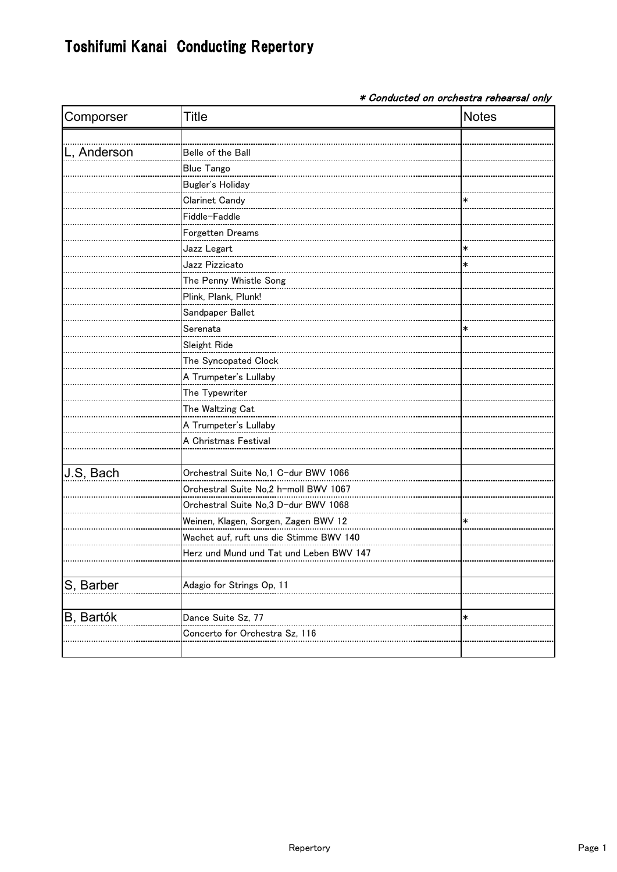## Toshifumi Kanai Conducting Repertory

\* Conducted on orchestra rehearsal only

| Comporser   | Title                                   | <b>Notes</b> |
|-------------|-----------------------------------------|--------------|
|             |                                         |              |
| L, Anderson | Belle of the Ball                       |              |
|             | <b>Blue Tango</b>                       |              |
|             | Bugler's Holiday                        |              |
|             | Clarinet Candy                          |              |
|             | Fiddle-Faddle                           |              |
|             | Forgetten Dreams                        |              |
|             | Jazz Legart                             | $\ast$       |
|             | Jazz Pizzicato                          | ∗            |
|             | The Penny Whistle Song                  |              |
|             | Plink, Plank, Plunk!                    |              |
|             | Sandpaper Ballet                        |              |
|             | Serenata                                | ∗            |
|             | Sleight Ride                            |              |
|             | The Syncopated Clock                    |              |
|             | A Trumpeter's Lullaby                   |              |
|             | The Typewriter                          |              |
|             | The Waltzing Cat                        |              |
|             |                                         |              |
|             | A Christmas Festival                    |              |
|             |                                         |              |
| J.S, Bach   | Orchestral Suite No.1 C-dur BWV 1066    |              |
|             | Orchestral Suite No,2 h-moll BWV 1067   |              |
|             | Orchestral Suite No,3 D-dur BWV 1068    |              |
|             | Weinen, Klagen, Sorgen, Zagen BWV 12    |              |
|             | Wachet auf, ruft uns die Stimme BWV 140 |              |
|             | Herz und Mund und Tat und Leben BWV 147 |              |
|             |                                         |              |
| S, Barber   | Adagio for Strings Op, 11               |              |
|             |                                         |              |
| B, Bartók   | Dance Suite Sz, 77                      | $\ast$       |
|             | Concerto for Orchestra Sz, 116          |              |
|             |                                         |              |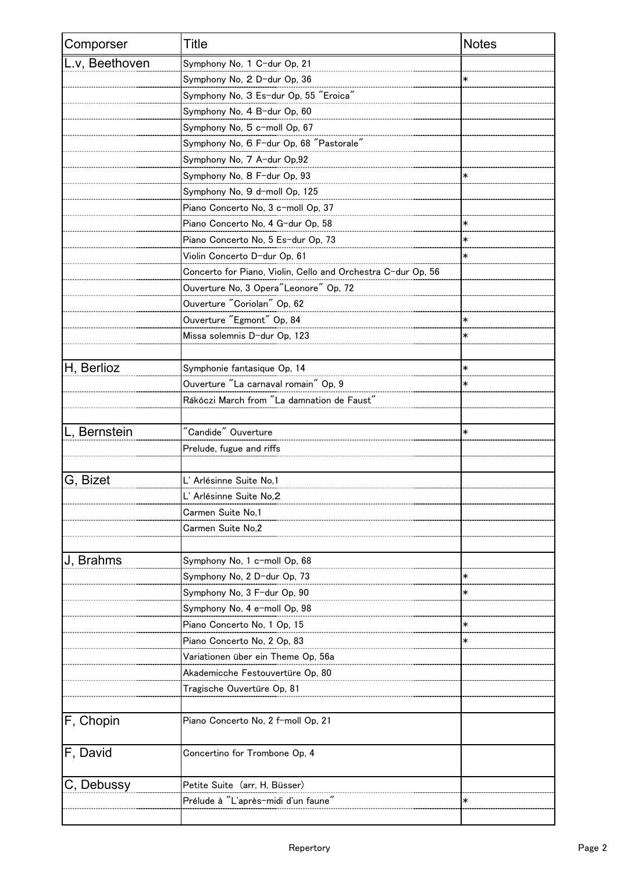| Comporser      | Title                                                        | <b>Notes</b> |
|----------------|--------------------------------------------------------------|--------------|
| L.v, Beethoven | Symphony No, 1 C-dur Op, 21                                  |              |
|                | Symphony No, 2 D-dur Op, 36                                  |              |
|                | Symphony No, 3 Es-dur Op, 55 "Eroica"                        |              |
|                | Symphony No, 4 B-dur Op, 60                                  |              |
|                | Symphony No, 5 c-moll Op, 67                                 |              |
|                | Symphony No, 6 F-dur Op, 68 "Pastorale"                      |              |
|                | Symphony No. 7 A-dur Op,92                                   |              |
|                | Symphony No, 8 F-dur Op, 93                                  |              |
|                | Symphony No, 9 d-moll Op, 125                                |              |
|                | Piano Concerto No, 3 c-moll Op, 37                           |              |
|                | Piano Concerto No, 4 G-dur Op, 58                            |              |
|                | Piano Concerto No, 5 Es-dur Op, 73                           |              |
|                | Violin Concerto D-dur Op, 61                                 | $\ast$       |
|                | Concerto for Piano, Violin, Cello and Orchestra C-dur Op, 56 |              |
|                | Ouverture No. 3 Opera"Leonore" Op. 72                        |              |
|                | Ouverture "Coriolan" Op, 62                                  |              |
|                | Ouverture "Egmont" Op, 84                                    | $\ast$       |
|                | Missa solemnis D-dur Op, 123                                 |              |
|                |                                                              |              |
| H, Berlioz     | Symphonie fantasique Op, 14                                  | $\ast$       |
|                |                                                              |              |
|                | Rákóczi March from "La damnation de Faust"                   |              |
|                |                                                              |              |
| L, Bernstein   | "Candide" Ouverture                                          | $\ast$       |
|                | Prelude, fugue and riffs                                     |              |
|                |                                                              |              |
| G, Bizet       | L' Arlésinne Suite No,1                                      |              |
|                | L' Arlésinne Suite No,Z                                      |              |
|                | Carmen Suite No,1                                            |              |
|                | Carmen Suite No,2                                            |              |
|                |                                                              |              |
| J, Brahms      | Symphony No, 1 c-moll Op, 68                                 |              |
|                | Symphony No, 2 D-dur Op, 73                                  |              |
|                | Symphony No, 3 F-dur Op, 90                                  |              |
|                | Symphony No, 4 e-moll Op, 98                                 |              |
|                | Piano Concerto No, 1 Op, 15                                  |              |
|                | Piano Concerto No, 2 Op, 83                                  |              |
|                |                                                              |              |
|                | Akademicche Festouvertüre Op, 80                             |              |
|                | Tragische Ouvertüre Op, 81                                   |              |
|                |                                                              |              |
| F, Chopin      | Piano Concerto No, 2 f-moll Op, 21                           |              |
| F, David       | Concertino for Trombone Op, 4                                |              |
| C, Debussy     | Petite Suite (arr, H, Büsser)                                |              |
|                | Prélude à "L'après-midi d'un faune'                          |              |
|                |                                                              |              |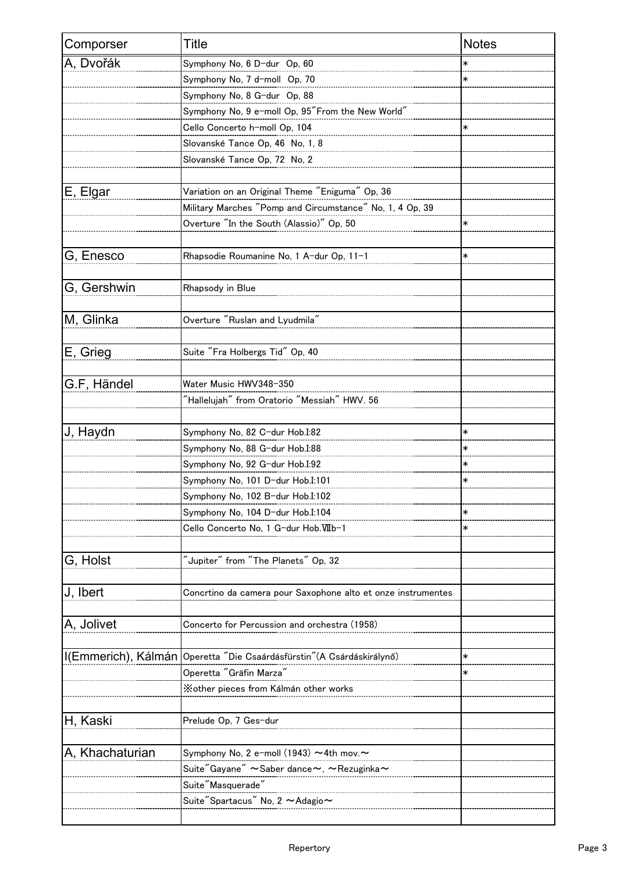| Comporser           | <b>Title</b>                                                  | <b>Notes</b> |
|---------------------|---------------------------------------------------------------|--------------|
| A, Dvořák           | Symphony No, 6 D-dur Op, 60                                   | $\ast$       |
|                     | Symphony No, 7 d-moll Op, 70                                  | *            |
|                     | Symphony No. 8 G-dur Op. 88                                   |              |
|                     | Symphony No, 9 e-moll Op, 95"From the New World"              |              |
|                     | Cello Concerto h-moll Op, 104                                 |              |
|                     | Slovanské Tance Op, 46 No, 1, 8                               |              |
|                     | Slovanské Tance Op, 72 No, 2                                  |              |
|                     |                                                               |              |
| E, Elgar            | Variation on an Original Theme "Eniguma" Op, 36               |              |
|                     | Military Marches "Pomp and Circumstance" No. 1, 4 Op, 39      |              |
|                     | Overture "In the South (Alassio)" Op, 50                      |              |
|                     |                                                               |              |
| G, Enesco           | Rhapsodie Roumanine No, 1 A-dur Op, 11-1                      | $\ast$       |
|                     |                                                               |              |
| G, Gershwin         | Rhapsody in Blue                                              |              |
|                     |                                                               |              |
| M, Glinka           | Overture "Ruslan and Lyudmila"                                |              |
|                     |                                                               |              |
| E, Grieg            | Suite "Fra Holbergs Tid" Op, 40                               |              |
|                     |                                                               |              |
| G.F, Händel         | Water Music HWV348-350                                        |              |
|                     | "Hallelujah" from Oratorio "Messiah" HWV. 56                  |              |
|                     |                                                               |              |
| J, Haydn            | Symphony No, 82 C-dur Hob.I:82                                | $\ast$       |
|                     | Symphony No, 88 G-dur Hob.I:88                                |              |
|                     | Symphony No, 92 G-dur Hob.I:92                                | $\ast$       |
|                     | Symphony No, 101 D-dur Hob.I:101                              |              |
|                     | Symphony No, 102 B-dur Hob.I:102                              |              |
|                     | Symphony No, 104 D-dur Hob.I:104                              |              |
|                     | Cello Concerto No, 1 G-dur Hob.VIIb-1                         | $\ast$       |
|                     |                                                               |              |
| G, Holst            | $\mathrm{``Jupiter''}$ from $\mathrm{``The~Planets''}$ Op, 32 |              |
|                     |                                                               |              |
| J, Ibert            | Concrtino da camera pour Saxophone alto et onze instrumentes  |              |
|                     |                                                               |              |
| A, Jolivet          | Concerto for Percussion and orchestra (1958)                  |              |
|                     |                                                               |              |
| I(Emmerich), Kálmán | Operetta "Die Csaárdásfürstin" (A Csárdáskirálynő)            | $\ast$       |
|                     | Operetta "Gräfin Marza'                                       |              |
|                     | Xother pieces from Kálmán other works                         |              |
|                     |                                                               |              |
| H, Kaski            | Prelude Op, 7 Ges-dur                                         |              |
|                     |                                                               |              |
| A, Khachaturian     | Symphony No, 2 e-moll (1943) ~4th mov.~                       |              |
|                     | Suite"Gayane" ~Saber dance~, ~Rezuginka~                      |              |
|                     | Suite"Masquerade"                                             |              |
|                     | Suite"Spartacus" No, 2 ~Adagio~                               |              |
|                     |                                                               |              |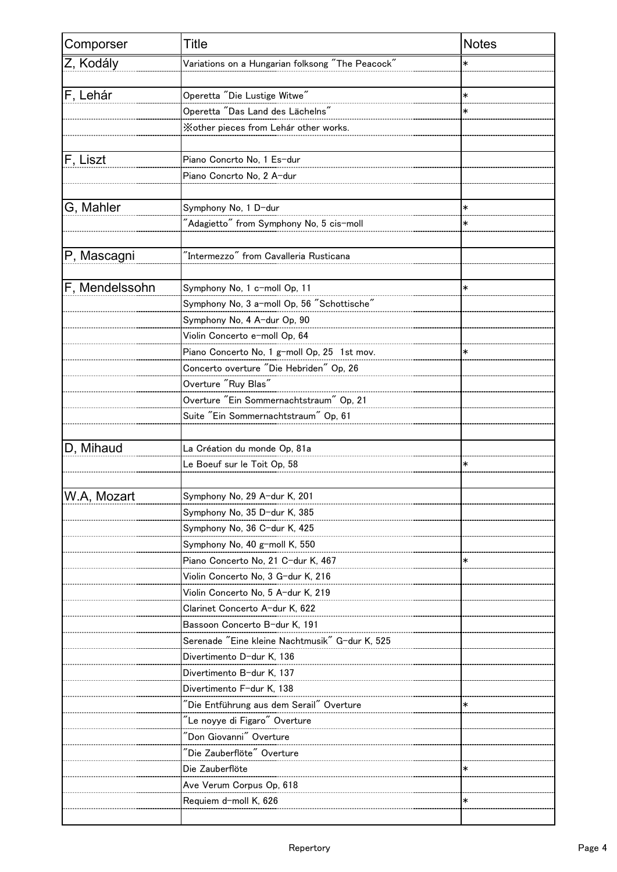| Comporser      | Title                                                                           | <b>Notes</b> |
|----------------|---------------------------------------------------------------------------------|--------------|
| Z, Kodály      | Variations on a Hungarian folksong "The Peacock"                                |              |
|                |                                                                                 |              |
| F, Lehár       | Operetta "Die Lustige Witwe"                                                    | $\ast$       |
|                | Operetta "Das Land des Lächelns"                                                |              |
|                | Xother pieces from Lehár other works.                                           |              |
|                |                                                                                 |              |
| F, Liszt       | Piano Concrto No, 1 Es-dur                                                      |              |
|                | Piano Concrto No, 2 A-dur                                                       |              |
|                |                                                                                 |              |
| G, Mahler      | Symphony No, 1 D-dur                                                            | $\ast$       |
|                | "Adagietto" from Symphony No, 5 cis-moll                                        |              |
|                |                                                                                 |              |
| P, Mascagni    | "Intermezzo" from Cavalleria Rusticana                                          |              |
|                |                                                                                 |              |
| F, Mendelssohn | Symphony No, 1 c-moll Op, 11                                                    |              |
|                | Symphony No, 3 a-moll Op, 56 "Schottische"                                      |              |
|                | Symphony No, 4 A-dur Op, 90                                                     |              |
|                | Violin Concerto e-moll Op, 64                                                   |              |
|                | Piano Concerto No, 1 g-moll Op, 25 1st mov.                                     |              |
|                |                                                                                 |              |
|                | Concerto overture "Die Hebriden" Op, 26<br>Overture "Ruy Blas"                  |              |
|                |                                                                                 |              |
|                | Overture "Ein Sommernachtstraum" Op, 21<br>Suite "Ein Sommernachtstraum" Op, 61 |              |
|                |                                                                                 |              |
|                |                                                                                 |              |
| D, Mihaud      | La Création du monde Op, 81a                                                    |              |
|                | Le Boeuf sur le Toit Op, 58                                                     |              |
|                |                                                                                 |              |
| W.A, Mozart    | Symphony No, 29 A-dur K, 201                                                    |              |
|                | Symphony No, 35 D-dur K, 385                                                    |              |
|                | Symphony No, 36 C-dur K, 425                                                    |              |
|                | Symphony No, 40 g-moll K, 550                                                   |              |
|                | Piano Concerto No, 21 C-dur K, 467                                              |              |
|                | Violin Concerto No, 3 G-dur K, 216                                              |              |
|                | Violin Concerto No, 5 A-dur K, 219                                              |              |
|                | Clarinet Concerto A-dur K, 622                                                  |              |
|                | Bassoon Concerto B-dur K, 191                                                   |              |
|                | Serenade "Eine kleine Nachtmusik" G-dur K, 525                                  |              |
|                | Divertimento D-dur K, 136                                                       |              |
|                | Divertimento B-dur K, 137                                                       |              |
|                | Divertimento F-dur K, 138                                                       |              |
|                |                                                                                 | $\ast$       |
|                | "Le noyye di Figaro" Overture                                                   |              |
|                | "Don Giovanni" Overture                                                         |              |
|                | "Die Zauberflöte" Overture                                                      |              |
|                | Die Zauberflöte                                                                 | ∗            |
|                | Ave Verum Corpus Op, 618                                                        |              |
|                | Requiem d-moll K, 626                                                           |              |
|                |                                                                                 |              |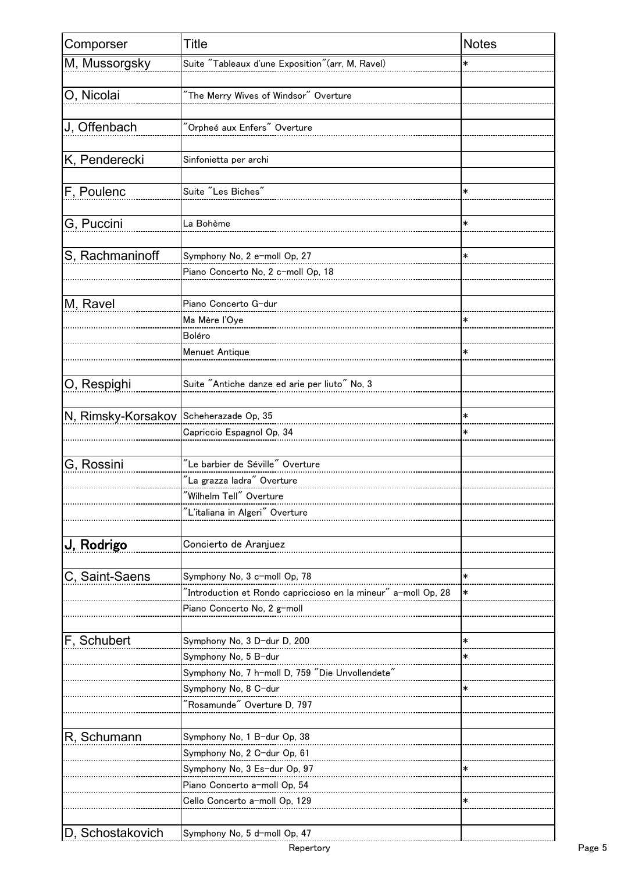| Comporser                              | Title                                                      | <b>Notes</b> |
|----------------------------------------|------------------------------------------------------------|--------------|
| M, Mussorgsky                          | Suite "Tableaux d'une Exposition" (arr, M, Ravel)          |              |
|                                        |                                                            |              |
| O, Nicolai                             |                                                            |              |
|                                        |                                                            |              |
| J, Offenbach                           | "Orpheé aux Enfers" Overture                               |              |
|                                        |                                                            |              |
| K, Penderecki                          | Sinfonietta per archi                                      |              |
|                                        |                                                            |              |
| F, Poulenc                             | Suite "Les Biches"                                         | $\ast$       |
|                                        |                                                            |              |
| G, Puccini                             | La Bohème                                                  | $\ast$       |
|                                        |                                                            |              |
| S, Rachmaninoff                        | Symphony No, 2 e-moll Op, 27                               | ∗            |
|                                        | Piano Concerto No, 2 c-moll Op, 18                         |              |
|                                        |                                                            |              |
| M, Ravel                               | Piano Concerto G-dur                                       |              |
|                                        | Ma Mère l'Oye                                              |              |
|                                        | Boléro                                                     |              |
|                                        | Menuet Antique                                             | ∗            |
|                                        |                                                            |              |
| O, Respighi                            | Suite "Antiche danze ed arie per liuto" No, 3              |              |
|                                        |                                                            |              |
| N, Rimsky-Korsakov Scheherazade Op, 35 |                                                            |              |
|                                        | Capriccio Espagnol Op, 34                                  |              |
|                                        |                                                            |              |
| G, Rossini                             | $\mathrm{''}$ Le barbier de Séville $\mathrm{''}$ Overture |              |
|                                        | "La grazza ladra" Overture                                 |              |
|                                        | Wilhelm Tell" Overture                                     |              |
|                                        |                                                            |              |
|                                        |                                                            |              |
| J, Rodrigo                             | Concierto de Aranjuez                                      |              |
|                                        |                                                            |              |
| C, Saint-Saens                         | Symphony No. 3 c-moll Op. 78                               | $\ast$       |
|                                        |                                                            | *            |
|                                        | Piano Concerto No, 2 g-moll                                |              |
|                                        |                                                            |              |
| F, Schubert                            | Symphony No, 3 D-dur D, 200                                | $\ast$       |
|                                        | Symphony No, 5 B-dur                                       |              |
|                                        | Symphony No, 7 h-moll D, 759 "Die Unvollendete"            |              |
|                                        | Symphony No, 8 C-dur                                       | ∗            |
|                                        | "Rosamunde" Overture D, 797                                |              |
|                                        |                                                            |              |
| R, Schumann                            | Symphony No, 1 B-dur Op, 38                                |              |
|                                        | Symphony No, 2 C-dur Op, 61                                |              |
|                                        | Symphony No, 3 Es-dur Op, 97                               | *            |
|                                        | Piano Concerto a-moll Op, 54                               |              |
|                                        | Cello Concerto a-moll Op, 129                              | ∗            |
|                                        |                                                            |              |
| D, Schostakovich                       | Symphony No, 5 d-moll Op, 47                               |              |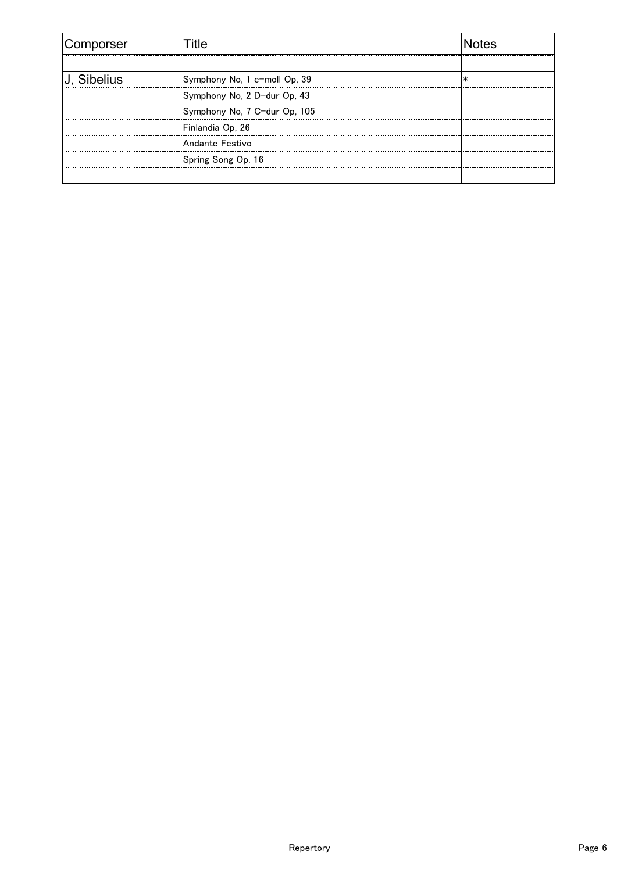| Comporser   | -itle                        | <b>Notes</b> |
|-------------|------------------------------|--------------|
|             |                              |              |
| U. Sibelius | Symphony No, 1 e-moll Op, 39 |              |
|             | Symphony No, 2 D-dur Op, 43  |              |
|             | Symphony No, 7 C-dur Op, 105 |              |
|             | Finlandia Op, 26             |              |
|             | Andante Festivo              |              |
|             | Spring Song Op, 16           |              |
|             |                              |              |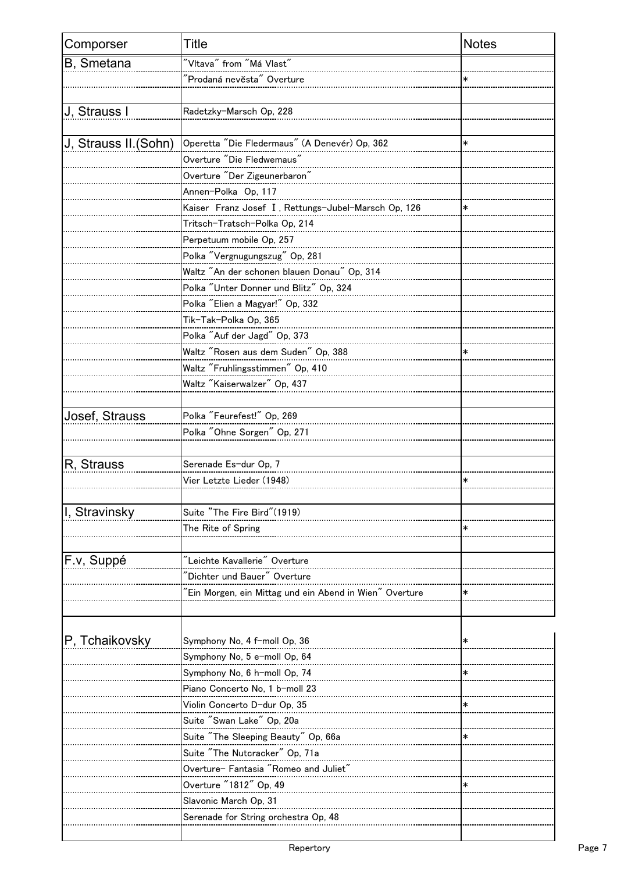| Comporser             | <b>Title</b>                                           | <b>Notes</b> |
|-----------------------|--------------------------------------------------------|--------------|
| B, Smetana            |                                                        |              |
|                       | "Prodaná nevěsta" Overture                             |              |
|                       |                                                        |              |
| J, Strauss I          | Radetzky-Marsch Op, 228                                |              |
|                       |                                                        |              |
| J, Strauss II. (Sohn) | Operetta "Die Fledermaus" (A Denevér) Op. 362          | ∗            |
|                       | Overture "Die Fledwemaus"                              |              |
|                       | Overture "Der Zigeunerbaron"                           |              |
|                       | Annen-Polka Op, 117                                    |              |
|                       | Kaiser Franz Josef I, Rettungs-Jubel-Marsch Op, 126    | $\ast$       |
|                       | Tritsch-Tratsch-Polka Op, 214                          |              |
|                       | Perpetuum mobile Op, 257                               |              |
|                       | Polka "Vergnugungszug" Op, 281                         |              |
|                       | Waltz "An der schonen blauen Donau" Op, 314            |              |
|                       | Polka "Unter Donner und Blitz" Op, 324                 |              |
|                       | Polka "Elien a Magyar!" Op, 332                        |              |
|                       | Tik-Tak-Polka Op, 365                                  |              |
|                       | Polka "Auf der Jagd" Op, 373                           |              |
|                       | Waltz "Rosen aus dem Suden" Op, 388                    | *            |
|                       | Waltz "Fruhlingsstimmen" Op, 410                       |              |
|                       | Waltz "Kaiserwalzer" Op, 437                           |              |
|                       |                                                        |              |
| Josef, Strauss        | Polka "Feurefest!" Op, 269                             |              |
|                       | Polka "Ohne Sorgen" Op, 271                            |              |
|                       |                                                        |              |
| R, Strauss            | Serenade Es-dur Op, 7                                  |              |
|                       | Vier Letzte Lieder (1948)                              |              |
|                       |                                                        |              |
| I, Stravinsky         | Suite "The Fire Bird"(1919)                            |              |
|                       | The Rite of Spring                                     |              |
|                       |                                                        |              |
| F.v. Suppé            |                                                        |              |
|                       | Dichter und Bauer" Overture                            |              |
|                       | Ein Morgen, ein Mittag und ein Abend in Wien" Overture |              |
|                       |                                                        |              |
|                       |                                                        |              |
| P, Tchaikovsky        | Symphony No, 4 f-moll Op, 36                           |              |
|                       | Symphony No, 5 e-moll Op, 64                           |              |
|                       | Symphony No, 6 h-moll Op, 74                           |              |
|                       | Piano Concerto No, 1 b-moll 23                         |              |
|                       | Violin Concerto D-dur Op, 35                           |              |
|                       | Suite "Swan Lake" Op, 20a                              |              |
|                       | Suite "The Sleeping Beauty" Op, 66a                    |              |
|                       | Suite "The Nutcracker" Op, 71a                         |              |
|                       |                                                        |              |
|                       | Overture "1812" Op, 49                                 | $\ast$       |
|                       | Slavonic March Op, 31                                  |              |
|                       | Serenade for String orchestra Op, 48                   |              |
|                       |                                                        |              |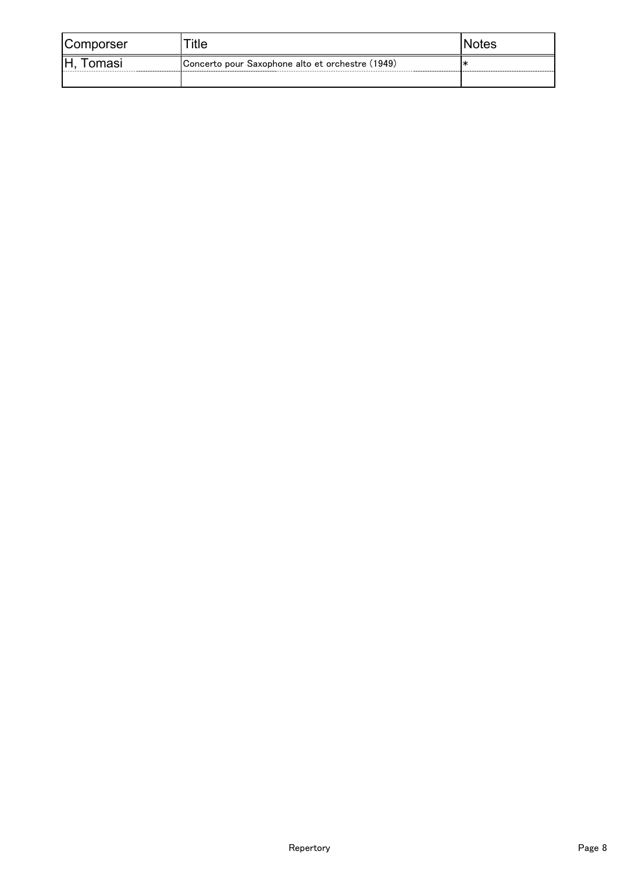| Comporser     | itle                                             | NOIES |
|---------------|--------------------------------------------------|-------|
| ١Н.<br>Tomasi | Concerto pour Saxophone alto et orchestre (1949) |       |
|               |                                                  |       |